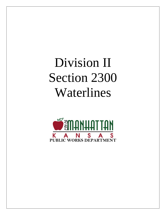# Division II Section 2300 Waterlines

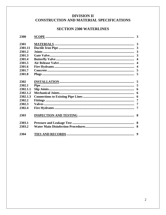# **DIVISION II** CONSTRUCTION AND MATERIAL SPECIFICATIONS

# **SECTION 2300 WATERLINES**

| 2300     |  |
|----------|--|
|          |  |
| 2301     |  |
| 2301.11  |  |
| 2301.2   |  |
| 2301.3   |  |
| 2301.4   |  |
| 2301.5   |  |
| 2301.6   |  |
| 2301.7   |  |
| 2301.8   |  |
|          |  |
| 2302     |  |
| 2302.1   |  |
| 2302.1.1 |  |
| 2302.1.2 |  |
| 2302.1.3 |  |
| 2302.2   |  |
| 2302.3   |  |
| 2302.4   |  |
| 2303     |  |
| 2303.1   |  |
| 2303.2   |  |
| 2304     |  |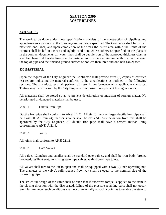# **SECTION 2300 WATERLINES**

## **2300 SCOPE**

The work to be done under these specifications consists of the construction of pipelines and appurtenances as shown on the drawings and as herein specified. The Contractor shall furnish all materials and labor, and upon completion of the work the entire area within the limits of the contract shall be left in a clean and sightly condition. Unless otherwise specified on the plans or in the contract documents, all water lines shall be ductile iron of the approved thickness class as specified herein. All water lines shall be installed to provide a minimum depth of cover between the top of pipe and the finished ground surface of not less than three and one-half (31/2) feet.

#### **2301MATERIAL**

Upon the request of the City Engineer the Contractor shall provide three (3) copies of certified test reports indicating the material conforms to the specifications as outlined in the following sections. The manufacturer shall perform all tests in conformance with applicable standards. Testing may be witnessed by the City Engineer or approved independent testing laboratory.

All materials shall be stored so as to prevent deterioration or intrusion of foreign matter. No deteriorated or damaged material shall be used.

2301.11 Ductile Iron Pipe

Ductile iron pipe shall conform to ANSI 12.51. All six (6) inch or larger ductile iron pipe shall be class 50. All four (4) inch or smaller shall be class 51. Any deviation from this shall be approved by the City Engineer. All ductile iron pipe shall have a cement mortar lining conforming to ANSI A 21.4.

2301.2 Joints

All joints shall conform to ANSI 21.11.

2301.3 Gate Valves

All valves 12.inches and smaller shall be standard gate valves, and shall be iron body, bronze mounted, resilient seat, non-rising stem type valves, with slip-on type joints.

All valves shall turn to the left to open and shall be equipped with a two (2) inch operating nut. The diameter of the valve's fully opened flow-way shall be equal to the nominal size of the connecting pipe.

The structural design of the valve shall be such that if excessive torque is applied to the stem in the closing direction with the disc seated, failure of the pressure retaining parts shall not occur. Stem failure under such conditions shall occur externally at such a point as to enable the stem to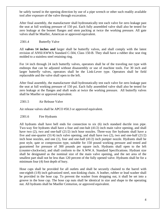be safely turned in the opening direction by use of a pipe wrench or other such readily available tool after exposure of the valve through excavation.

After final assembly, the manufacturer shall hydrostatically test each valve for zero leakage past the seat at full working pressure of 150 psi. Each fully assembled valve shall also be tested for zero leakage at the bonnet flanges and stem packing at twice the working pressure. All gate valves shall be Mueller, American or approved equivalent.

# 2301.4 Butterfly Valve

All **valves 14 inches and** larger shall be butterfly valves, and shall comply with the latest revision of ANSI/AWWA Standard C-504, Class 150-B. They shall have a rubber disc seat ring molded to a stainless steel retaining ring.

For 14 inch through 24 inch butterfly valves, operators shall be of the traveling nut type with endstops that can be adjusted without disassembly or use of machine tools. For 30 inch and larger butterfly valves, operators shall be the Link-Lever type. Operators shall be field replaceable and the valve shall open to the left.

After final assembly, the manufacturer shall hydrostatically test each valve for zero leakage past the seat at full working pressure of 150 psi. Each fully assembled valve shall also be tested for zero leakage at the flanges and shaft seals at twice the working pressure. All butterfly valves shall be Mueller or approved equivalent.

## 2301.5 Air Release Valve

Air release valves shall be APCO #50.3 or approved equivalent.

#### 2301.6 Fire Hydrants

All hydrants shall have bell ends for connection to six (6) inch standard ductile iron pipe. Two-way fire hydrants shall have a four and one-halt (41/2) inch main valve opening, and shall have two (2), two and one-half (21/2) inch hose nozzles. Three-way fire hydrants shall have a five and one-quarter (51/4) inch valve opening, and shall have two (2), two and one-half (21/2) inch hose nozzles, and one (1), four and one-half (41/2) inch pumper nozzle. Hydrants shall be post style, qate or compression type, suitable for 150 pound working pressure and tested and guaranteed for pressure of 300 pounds per square inch. Hydrants shall open to the left (counter-clockwise), and shall conform to the A.WW.A. Standard Specifications. Hydrant size shall be designated as the nominal size of the main valve opening, and the net area of the smallest part shall not be less than 120 percent of the fully opened valve. Hydrants shall be for a minimum four (4) foot depth of bury.

Hose caps shall be provided for all outlets and shall be securely chained to the barrel with one-eighth (1/8) inch galvanized steel, non-kinking chain. A leather, rubber or lead washer shall be provided in the hose cap. To prevent the washer from dropping out, it shall be set into a groove in the hose cap. The hose cap nuts shall be identical in size and shape to the operating nut. All hydrants shall be Mueller Centurion, or approved equivalent.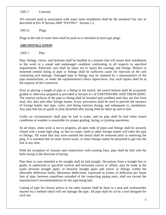#### 2301.7 Concrete

All concrete used in association with water main installation shall be the standard City mix as described in Div II Section 2600 "PAVING" Section 1.2.

2301.8 Plugs

Plugs at the end of water lines shall be push in or mechanical joint type plugs.

# **2302 INSTALLATION**

#### 2302.1 Pipe

Pipe, fittings, valves, and hydrants shall be handled in a manner that will insure their installation in the work in a sound and undamaged condition conforming in all respects to specified requirements. Particular care shall be taken not to injure the coatings and linings. Broken or loosened cement lining in pipe or fittings shall be sufficient cause for rejection of the unit containing such damage. Damaged pipe or fittings may be repaired by a representative of the pipe manufacturer, or under the representative's direct supervision. Any such repairs shall be at the expense of the Contractor.

Prior to placing a length of pipe or a fitting in the trench, the trench bottom shall be accurately graded or otherwise prepared as provided in Section 4.1 of EARTHWORK AND TRENCHING. The interior surfaces of the pipe or fitting shall be brushed and swabbed until they are free from mud, dirt, dust and other foreign matter. Every precaution shall be used to prevent the entrance of foreign matter into pipe, valve, and fitting interiors during, and subsequent to, installation. Any pipe that has its grade or joint disturbed after laying shall be taken up and re-laid.

Under no circumstances shall pipe be laid in water, and no pipe shall be laid when trench conditions or weather is unsuitable for proper grading, laying, or jointing operations.

At all times, when work is not in progress, all open ends of pipes and fittings shall be securely closed with a water-tight plug, so that no water, earth or other foreign matter will enter the pipe or fittings. All water that may have entered the trench shall be removed prior to removing the plug. It is essential that no mud. trench water, or other foreign matter be permitted to get into the line at any time.

With the exception of closures and connections with existing lines, pipe shall be laid with the bells facing in the direction of laying.

Pipe lines or runs intended to be straight shall be laid straight. Deviations from a straight line or grade, in authorized or specified vertical and horizontal curves or offsets, may be made at the joints between straight pipes, or between straight pipes and valves or fittings, within the allowable deflection limits. Maximum deflections, expressed in inches of deflection per linear foot of pipe, between centerlines extended of the connecting piping units, shall not exceed the manufacturer's recommendations for the pipe being laid.

Cutting of pipe for closure pieces or for other reasons shall be done in a neat and workmanlike manner by a method which will not damage the pipe. All pipe shall be cut by a tool designed for such use.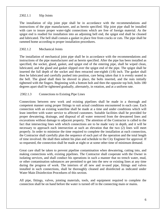#### 2302.1.1 Slip Joints

The installation of slip joint pipe shall be in accordance with the recommendations and instructions of the pipe manufacturer, and as herein specified. Slip joint pipe shall be installed with care to insure proper water-tight connections which are free of foreign material. As the spigot end is readied for installation into an adjoining bell end, the spigot end shall be cleaned and lubricated. The bell shall contain a gasket in place free from cracks or cuts. The pipe shall be rammed home according to proper installation procedures.

#### 2302.1.2 Mechanical Joints

The installation of mechanical joint pipe shall be in accordance with the recommendations and instructions of the pipe manufacturer and as herein specified. After the pipe has been installed as specified, the socket, gland, gasket, and spigot end of the entering pipe, shall be wiped clean, lubricated, and the gland and gasket slipped over the spigot end of the pipe. The spigot shall be inserted the full depth of the socket and then retracted one-eighth (1/8) inch. The gasket shall then be lubricated and carefully pushed into position, care being taken that it is evenly seated in the bell. The gland shall then be shoved in place, the bolts inserted, and the nuts initially tightened with the fingers. Beginning with a bottom bolt and then the opposite top bolt, bolts 180 degrees apart shall be tightened gradually, alternately, in rotation, and at a uniform rate.

#### 2302.1.3 Connections to Existing Pipe Lines

Connections between new work and existing pipelines shall be made in a thorough and competent manner using proper fittings to suit actual conditions encountered in each case. Each connection with an existing waterline shall be made at a time and under conditions which will least interfere with water service to affected customers. Suitable facilities shall be provided for proper dewatering, drainage, and disposal of all water removed from the dewatered lines and excavations without damage to adjacent property. The attention of the Contractor is called to the fact that intersecting lines with which connections are to be made vary in depth, and it will be necessary to approach each intersection at such an elevation that the two (2) lines will meet properly. In order to minimize the time required to complete the installation at each connection, the Contractor shall carefully plan the sequence of each part of the operation and the total length of time involved. He shall then submit his plan and schedule to the City Engineer for approval. If so requested, the connection shall be made at night or at some other time of minimum demand.

Great care shall be taken to prevent pipeline contamination when dewatering, cutting into, and making connections with, existing pipelines. The Contractor shall cooperate with the Owner in isolating services, and shall conduct his operations in such a manner that no trench water, mud, or other contamination substances are permitted to get into the new or existing lines at any time during the progress of work. The interiors of all new and re-used pipe, fittings and valves installed in such connections, shall be thoroughly cleaned and disinfected as indicated under Water Main Disinfection Procedures of this section.

All pipe, fittings, valves, jointing materials, tools, and equipment required to complete the connection shall be on hand before the water is turned off in the connecting main or mains.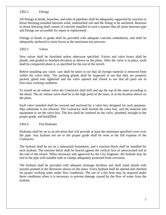## 2302.2 Fittings

All fittings at bends, branches, and ends of pipelines shall be adequately supported by reaction or thrust blocking installed between solid, undisturbed soil and the fitting to be anchored. Reaction or thrust blocking shall consist of concrete installed in such a manner that all joints between pipe and fittings are accessible for repair or replacement.

Fittings at bends in grade shall be provided with adequate concrete embedment, and shall be adequately anchored to resist forces at the maximum test pressure.

# 2302.3 Valves

New valves shall be furnished unless otherwise specified. Valves and valve boxes shall be plumb, and graded to finished elevation as shown on the plans. After the valve is in place, earth shall be compacted about it, as specified for the rest of the trench.

Before installing any valve, care shall be taken to see that all foreign material is removed from within the valve body. The packing glands shall be inspected to see that they are properly packed, gland nuts tightened and the valve opened and closed to see that all parts are in first-class working condition.

To install an air release valve the Contractor shall drill and tap the top of the main according to the detail. The air release valve shall be at the high point of the main, or at the location shown on the plans.

Each valve installed shall be covered and enclosed by a valve box designed for such purposes. Pipe substitute is not allowed. The Contractor shall furnish the valve box, and the material and equipment to set the valve box. The box shall be centered on the valve, plumbed, brought to the proper grade, and backfilled.

#### 2302.4 Fire Hydrants

Hydrants shall be set at an elevation that will provide at least the minimum specified cover over the pipe. Any hydrant not set to the proper grade shall be reset at the full expense of the Contractor.

The hydrant shall be set on a substantial foundation, and a reaction block shall be installed for each hydrant. The reaction block shall be braced against the vertical face of unexcavated soil at the end of the trench. When necessary and approved by the City Engineer, the hydrant may be tied to the pipe with suitable rods or clamps adequately protected from corrosion.

The hydrant shall be provided with adequate drainage facilities and shall stand plumb with nozzles pointed in the directions shown on the plans. Every hydrant shall be opened and checked for proper working order under flow conditions. The use of a fire hose may be required under these conditions when it is necessary to prevent damage caused by the flow of water from the hydrant.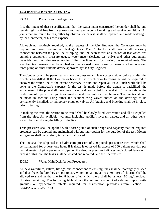## **2303 INSPECTION AND TESTING**

## 2303.1 Pressure and Leakage Test

It is the intent of these specifications that the water main constructed hereunder shall be and remain tight, and free from weakness and leakage under all working and service conditions. All joints that are found to leak, either by observation or test, shall be repaired and made watertight by the Contractor, at his own expense.

Although not routinely required, at the request of the City Engineer the Contractor may be required to make pressure and leakage tests. The Contractor shall provide all necessary connections between the pipe line or piping, and the nearest available source of test water, test pumping equipment, pressure gauge, water meter (leakage test only), and other equipment, materials, and facilities necessary for filling the lines and for making the required tests. The specified test pressure shall be applied and maintained in each case by means of a hand operated force pump or other suitable device approved by the City Engineer.

The Contractor will be permitted to make the pressure and leakage tests either before or after the trench is backfilled. If the Contractor backfills the trench prior to testing he will be required to uncover the water line to the extent necessary to find and repair all leaks. Such work shall be done at the Contractor's expense. If the test is made before the trench is backfilled, the embedment of the pipe shall have been placed and compacted to a level six (6) inches above the center line of pipe with all joints exposed around their entire circumference. The line test should be made in sections using either the sectionalizing valves shown on the drawings to be permanently installed, or temporary plugs or valves. All bracing and blocking shall be in place prior to testing.

In making the tests, the section to be tested shall be slowly filled with water, and all air expelled from the pipe. All available hydrants, including auxiliary hydrant valves, and all other vents, should be open during the filling of the line.

Tests pressures shall be applied with a force pump of such design and capacity that the required pressures can be applied and maintained without interruption for the duration of the test. Meters and gauges shall be carefully tested and calibrated.

The line shall be subjected to a hydrostatic pressure of 200 pounds per square inch, which shall be maintained for at least one hour. If leakage is observed in excess of 100 gallons per day per inch diameter of pipe per mile of pipe, or if a drop in pressure indicates undisclosed leakage in excess of this rate, the leaks shall be located and repaired, and the line retested.

# 2303.2 Water Main Disinfection Procedures

All new waterlines, valves, fittings, and connections to existing lines shall be thoroughly flushed and disinfected before they are put to use. Water containing at least 50 mg/I of chlorine shall be allowed to stand in the line for 8 hours after which there shall be at least 10 mg/I residual chlorine remaining. The following table shows the minimum amount of calcium hypochlorite granules or hypochlorite tablets required for disinfection purposes (from Section 5, ANSI/AWWA C601-81):